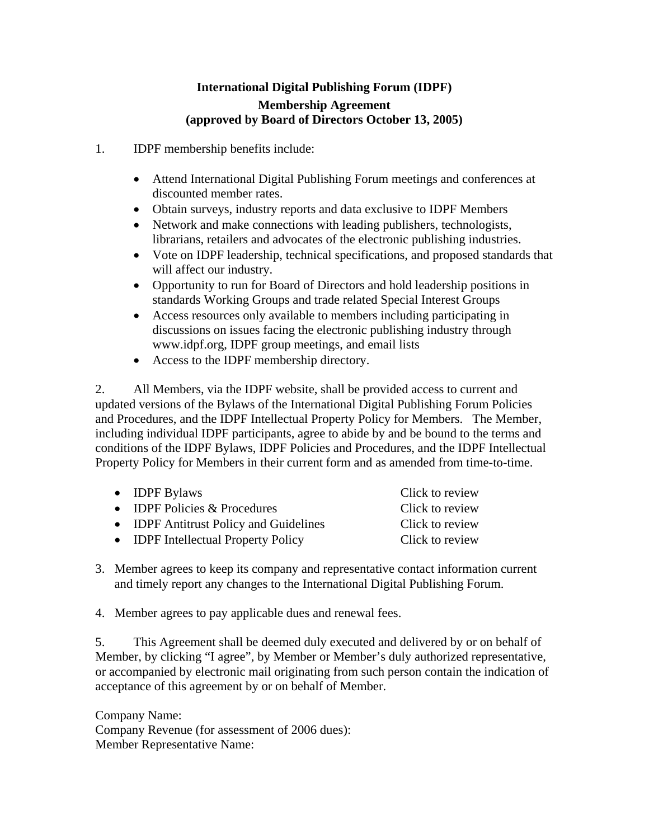## **International Digital Publishing Forum (IDPF) Membership Agreement (approved by Board of Directors October 13, 2005)**

- 1. IDPF membership benefits include:
	- Attend International Digital Publishing Forum meetings and conferences at discounted member rates.
	- Obtain surveys, industry reports and data exclusive to IDPF Members
	- Network and make connections with leading publishers, technologists, librarians, retailers and advocates of the electronic publishing industries.
	- Vote on IDPF leadership, technical specifications, and proposed standards that will affect our industry.
	- Opportunity to run for Board of Directors and hold leadership positions in standards Working Groups and trade related Special Interest Groups
	- Access resources only available to members including participating in discussions on issues facing the electronic publishing industry through www.idpf.org, IDPF group meetings, and email lists
	- Access to the IDPF membership directory.

2. All Members, via the IDPF website, shall be provided access to current and updated versions of the Bylaws of the International Digital Publishing Forum Policies and Procedures, and the IDPF Intellectual Property Policy for Members. The Member, including individual IDPF participants, agree to abide by and be bound to the terms and conditions of the IDPF Bylaws, IDPF Policies and Procedures, and the IDPF Intellectual Property Policy for Members in their current form and as amended from time-to-time.

| $\bullet$ IDPF Bylaws                  | Click to review |
|----------------------------------------|-----------------|
| • <b>IDPF</b> Policies $&$ Procedures  | Click to review |
| • IDPF Antitrust Policy and Guidelines | Click to review |
| • IDPF Intellectual Property Policy    | Click to review |
|                                        |                 |

- 3. Member agrees to keep its company and representative contact information current and timely report any changes to the International Digital Publishing Forum.
- 4. Member agrees to pay applicable dues and renewal fees.

5. This Agreement shall be deemed duly executed and delivered by or on behalf of Member, by clicking "I agree", by Member or Member's duly authorized representative, or accompanied by electronic mail originating from such person contain the indication of acceptance of this agreement by or on behalf of Member.

Company Name: Company Revenue (for assessment of 2006 dues): Member Representative Name: